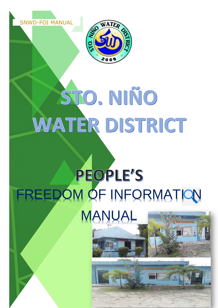



# STO, NIÑO WATER DISTRICT

## PEOPLE'S FREEDOM OF INFORMATION **MANUAL**

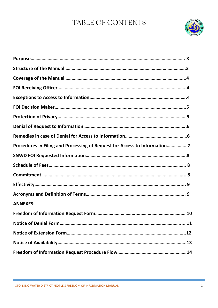## TABLE OF CONTENTS



| Procedures in Filing and Processing of Request for Access to Information 7 |
|----------------------------------------------------------------------------|
|                                                                            |
|                                                                            |
|                                                                            |
|                                                                            |
|                                                                            |
| <b>ANNEXES:</b>                                                            |
|                                                                            |
|                                                                            |
|                                                                            |
|                                                                            |
|                                                                            |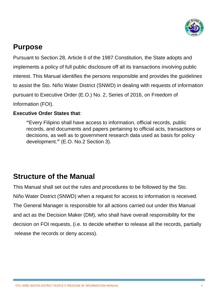

## **Purpose**

Pursuant to Section 28, Article II of the 1987 Constitution, the State adopts and implements a policy of full public disclosure off all its transactions involving public interest. This Manual identifies the persons responsible and provides the guidelines to assist the Sto. Niño Water District (SNWD) in dealing with requests of information pursuant to Executive Order (E.O.) No. 2, Series of 2016, on Freedom of Information (FOI).

#### **Executive Order States that**:

**"**Every Filipino shall have access to information, official records, public records, and documents and papers pertaining to official acts, transactions or decisions, as well as to government research data used as basis for policy development.**"** (E.O. No.2 Section 3).

## **Structure of the Manual**

This Manual shall set out the rules and procedures to be followed by the Sto. Niño Water District (SNWD) when a request for access to information is received. The General Manager is responsible for all actions carried out under this Manual and act as the Decision Maker (DM), who shall have overall responsibility for the decision on FOI requests, (i.e. to decide whether to release all the records, partially release the records or deny access).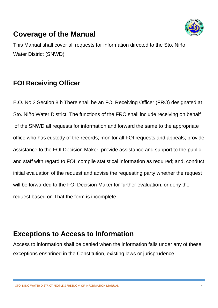## **Coverage of the Manual**



This Manual shall cover all requests for information directed to the Sto. Niño Water District (SNWD).

## **FOI Receiving Officer**

E.O. No.2 Section 8.b There shall be an FOI Receiving Officer (FRO) designated at Sto. Niño Water District. The functions of the FRO shall include receiving on behalf of the SNWD all requests for information and forward the same to the appropriate office who has custody of the records; monitor all FOI requests and appeals; provide assistance to the FOI Decision Maker; provide assistance and support to the public and staff with regard to FOI; compile statistical information as required; and, conduct initial evaluation of the request and advise the requesting party whether the request will be forwarded to the FOI Decision Maker for further evaluation, or deny the request based on That the form is incomplete.

## **Exceptions to Access to Information**

Access to information shall be denied when the information falls under any of these exceptions enshrined in the Constitution, existing laws or jurisprudence.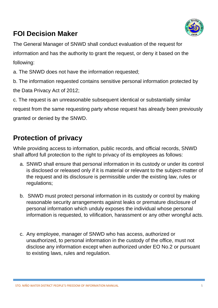

## **FOI Decision Maker**

The General Manager of SNWD shall conduct evaluation of the request for information and has the authority to grant the request, or deny it based on the following:

a. The SNWD does not have the information requested;

b. The information requested contains sensitive personal information protected by the Data Privacy Act of 2012;

c. The request is an unreasonable subsequent identical or substantially similar

request from the same requesting party whose request has already been previously granted or denied by the SNWD.

## **Protection of privacy**

While providing access to information, public records, and official records, SNWD shall afford full protection to the right to privacy of its employees as follows:

- a. SNWD shall ensure that personal information in its custody or under its control is disclosed or released only if it is material or relevant to the subject-matter of the request and its disclosure is permissible under the existing law, rules or regulations;
- b. SNWD must protect personal information in its custody or control by making reasonable security arrangements against leaks or premature disclosure of personal information which unduly exposes the individual whose personal information is requested, to vilification, harassment or any other wrongful acts.
- c. Any employee, manager of SNWD who has access, authorized or unauthorized, to personal information in the custody of the office, must not disclose any information except when authorized under EO No.2 or pursuant to existing laws, rules and regulation.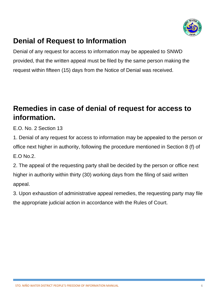

## **Denial of Request to Information**

Denial of any request for access to information may be appealed to SNWD provided, that the written appeal must be filed by the same person making the request within fifteen (15) days from the Notice of Denial was received.

## **Remedies in case of denial of request for access to information.**

E.O. No. 2 Section 13

1. Denial of any request for access to information may be appealed to the person or office next higher in authority, following the procedure mentioned in Section 8 (f) of E.O No.2.

2. The appeal of the requesting party shall be decided by the person or office next higher in authority within thirty (30) working days from the filing of said written appeal.

3. Upon exhaustion of administrative appeal remedies, the requesting party may file the appropriate judicial action in accordance with the Rules of Court.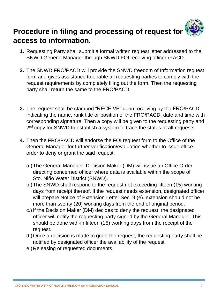

- **1.** Requesting Party shall submit a formal written request letter addressed to the SNWD General Manager through SNWD FOI receiving officer /PACD.
- **2.** The SNWD FRO/PACD will provide the SNWD freedom of Information request form and gives assistance to enable all requesting parties to comply with the request requirements by completely filing out the form. Then the requesting party shall return the same to the FRO/PACD.
- **3.** The request shall be stamped "RECEIVE" upon receiving by the FRO/PACD indicating the name, rank title or position of the FRO/PACD, date and time with corresponding signature. Then a copy will be given to the requesting party and 2<sup>nd</sup> copy for SNWD to establish a system to trace the status of all requests.
- **4.** Then the FRO/PACD will endorse the FOI request form to the Office of the General Manager for further verification/evaluation whether to issue office order to deny or grant the said request.
	- a.)The General Manager, Decision Maker (DM) will issue an Office Order directing concerned officer where data is available within the scope of Sto. Niño Water District (SNWD).
	- b.)The SNWD shall respond to the request not exceeding fifteen (15) working days from receipt thereof. If the request needs extension, designated officer will prepare Notice of Extension Letter Sec. 9 (e). extension should not be more than twenty (20) working days from the end of original period.
	- c.) If the Decision Maker (DM) decides to deny the request, the designated officer will notify the requesting party signed by the General Manager. This should be done with-in fifteen (15) working days from the receipt of the request.
	- d.)Once a decision is made to grant the request, the requesting party shall be notified by designated officer the availability of the request.
	- e.)Releasing of requested documents.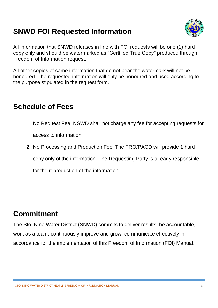## **SNWD FOI Requested Information**



All information that SNWD releases in line with FOI requests will be one (1) hard copy only and should be watermarked as "Certified True Copy" produced through Freedom of Information request.

All other copies of same information that do not bear the watermark will not be honoured. The requested information will only be honoured and used according to the purpose stipulated in the request form.

## **Schedule of Fees**

- 1. No Request Fee. NSWD shall not charge any fee for accepting requests for access to information.
- 2. No Processing and Production Fee. The FRO/PACD will provide 1 hard copy only of the information. The Requesting Party is already responsible for the reproduction of the information.

## **Commitment**

The Sto. Niño Water District (SNWD) commits to deliver results, be accountable, work as a team, continuously improve and grow, communicate effectively in accordance for the implementation of this Freedom of Information (FOI) Manual.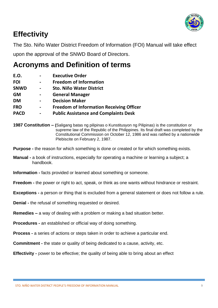

## **Effectivity**

The Sto. Niño Water District Freedom of Information (FOI) Manual will take effect

upon the approval of the SNWD Board of Directors.

## **Acronyms and Definition of terms**

| E.O.        |   | <b>Executive Order</b>                          |
|-------------|---|-------------------------------------------------|
| <b>FOI</b>  |   | <b>Freedom of Information</b>                   |
| <b>SNWD</b> |   | <b>Sto. Niño Water District</b>                 |
| <b>GM</b>   |   | <b>General Manager</b>                          |
| <b>DM</b>   |   | <b>Decision Maker</b>                           |
| <b>FRO</b>  | - | <b>Freedom of Information Receiving Officer</b> |
| <b>PACD</b> |   | <b>Public Assistance and Complaints Desk</b>    |

**<sup>1987</sup> Constitution – (**Saligang batas ng pilipinas o Kunstitusyon ng Pilipinas) is the constitution or supreme law of the Republic of the Philippines. Its final draft was completed by the Constitutional Commission on October 12, 1986 and was ratified by a nationwide Plebiscite on February 2, 1987.

**Purpose -** the reason for which something is done or created or for which something exists.

**Information -** facts provided or learned about something or someone.

**Freedom -** the power or right to act, speak, or think as one wants without hindrance or restraint.

**Exceptions -** a person or thing that is excluded from a general statement or does not follow a rule.

- **Denial -** the refusal of something requested or desired.
- **Remedies –** a way of dealing with a problem or making a bad situation better.
- **Procedures -** an established or official way of doing something.
- **Process -** a series of actions or steps taken in order to achieve a particular end.

**Commitment -** the state or quality of being dedicated to a cause, activity, etc.

**Effectivity -** power to be effective; the quality of being able to bring about an effect

**Manual -** a book of instructions, especially for operating a machine or learning a subject; a handbook.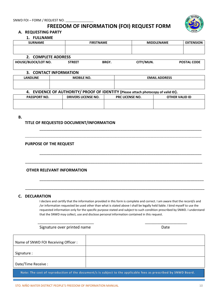#### **FREEDOM OF INFORMATION (FOI) REQUEST FORM**



#### **A. REQUESTING PARTY**

#### **1. FULLNAME**

| <b>SURNAME</b>                       | <b>FIRSTNAME</b>                                                                   |                      |                        | <b>MIDDLENAME</b> |                       |
|--------------------------------------|------------------------------------------------------------------------------------|----------------------|------------------------|-------------------|-----------------------|
|                                      |                                                                                    |                      |                        |                   |                       |
| 2. COMPLETE ADDRESS                  |                                                                                    |                      |                        |                   |                       |
| HOUSE/BLOCK/LOT NO.                  | <b>STREET</b>                                                                      | <b>BRGY.</b>         | CITY/MUN.              |                   | <b>POSTAL CODE</b>    |
|                                      |                                                                                    |                      |                        |                   |                       |
| 3. CONTACT INFORMATION               |                                                                                    |                      |                        |                   |                       |
| <b>LANDLINE</b><br><b>MOBILE NO.</b> |                                                                                    | <b>EMAIL ADDRESS</b> |                        |                   |                       |
|                                      |                                                                                    |                      |                        |                   |                       |
|                                      |                                                                                    |                      |                        |                   |                       |
|                                      | 4. EVIDENCE OF AUTHORITY/ PROOF OF IDENTITY (Please attach photocopy of valid ID). |                      |                        |                   |                       |
| <b>PASSPORT NO.</b>                  | <b>DRIVERS LICENSE NO.</b>                                                         |                      | <b>PRC LICENSE NO.</b> |                   | <b>OTHER VALID ID</b> |
|                                      |                                                                                    |                      |                        |                   |                       |

#### **B.**

#### **TITLE OF REQUESTED DOCUMENT/INFORMATION**

#### **PURPOSE OF THE REQUEST**

#### **OTHER RELEVANT INFORMATION**

#### **C. DECLARATION**

I declare and certify that the information provided in this form is complete and correct. I am aware that the record/s and /or information requested be used other than what is stated above I shall be legally held liable. I bind myself to use the requested information only for the specific purpose stated and subject to such condition prescribed by SNWD. I understand that the SNWD may collect, use and disclose personal information contained in this request.

\_\_\_\_\_\_\_\_\_\_\_\_\_\_\_\_\_\_\_\_\_\_\_\_\_\_\_\_\_\_\_\_\_\_\_\_\_\_\_\_\_\_\_\_\_\_\_\_\_\_\_\_\_\_\_\_\_\_\_\_\_\_\_\_\_\_\_\_\_\_\_\_\_\_

\_\_\_\_\_\_\_\_\_\_\_\_\_\_\_\_\_\_\_\_\_\_\_\_\_\_\_\_\_\_\_\_\_\_\_\_\_\_\_\_\_\_\_\_\_\_\_\_\_\_\_\_\_\_\_\_\_\_\_\_\_\_\_\_\_\_\_\_\_\_\_\_\_\_

\_\_\_\_\_\_\_\_\_\_\_\_\_\_\_\_\_\_\_\_\_\_\_\_\_\_\_\_\_\_\_\_\_\_\_\_\_\_\_\_\_\_\_\_\_\_\_\_\_\_\_\_\_\_\_\_\_\_\_\_\_\_\_\_\_\_\_\_\_\_\_\_\_\_\_

\_\_\_\_\_\_\_\_\_\_\_\_\_\_\_\_\_\_\_\_\_\_\_\_\_\_\_\_\_\_\_\_\_\_\_\_\_\_\_\_\_\_\_\_\_\_\_\_\_\_\_\_\_\_\_\_\_\_\_\_\_\_\_\_\_\_\_\_\_\_\_\_\_\_\_\_\_\_\_\_\_\_\_\_\_\_\_\_\_\_\_\_\_\_\_\_\_\_\_\_\_\_\_\_\_\_\_\_\_\_\_\_\_\_\_\_\_\_\_\_\_

\_\_\_\_\_\_\_\_\_\_\_\_\_\_\_\_\_\_\_\_\_\_\_\_\_\_\_\_\_\_\_\_\_\_\_\_\_\_\_\_\_\_\_\_\_\_\_\_\_\_\_\_\_\_\_\_\_\_\_\_\_\_\_\_\_\_\_\_\_\_\_\_\_\_\_\_\_\_\_\_\_

\_\_\_\_\_\_\_\_\_\_\_\_\_\_\_\_\_\_\_\_\_\_\_\_\_\_\_\_\_\_\_\_\_\_\_\_\_\_\_\_\_\_\_\_\_\_\_\_\_\_\_\_\_\_\_\_\_\_\_\_\_\_\_\_\_\_\_\_\_\_\_\_\_\_\_\_\_\_\_\_\_\_

Signature over printed name **Date** Date Date

| Name of SNWD FOI Receiving Officer: |  |
|-------------------------------------|--|
| Signature :                         |  |
| Date/Time Receive :                 |  |

\_\_\_\_\_\_\_\_\_\_\_\_\_\_\_\_\_\_\_\_\_\_\_\_\_\_\_\_ \_\_\_\_\_\_\_\_\_\_\_\_\_\_\_\_\_\_\_\_\_

 $\mathsf{T}$ 

 **Note: The cost of reproduction of the document/s is subject to the applicable fees as prescribed by SNWD Board.**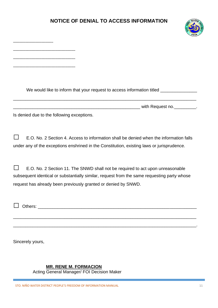#### **NOTICE OF DENIAL TO ACCESS INFORMATION**

\_\_\_\_\_\_\_\_\_\_\_\_\_\_\_\_\_\_\_\_



| We would like to inform that your request to access information titled __________                                                                                                                                                               |  |
|-------------------------------------------------------------------------------------------------------------------------------------------------------------------------------------------------------------------------------------------------|--|
|                                                                                                                                                                                                                                                 |  |
| Is denied due to the following exceptions.                                                                                                                                                                                                      |  |
| E.O. No. 2 Section 4. Access to information shall be denied when the information falls<br>under any of the exceptions enshrined in the Constitution, existing laws or jurisprudence.                                                            |  |
| E.O. No. 2 Section 11. The SNWD shall not be required to act upon unreasonable<br>subsequent identical or substantially similar, request from the same requesting party whose<br>request has already been previously granted or denied by SNWD. |  |
| Others:                                                                                                                                                                                                                                         |  |
| Sincerely yours,                                                                                                                                                                                                                                |  |

#### **MR. RENE M. FORMACION**

Acting General Manager/ FOI Decision Maker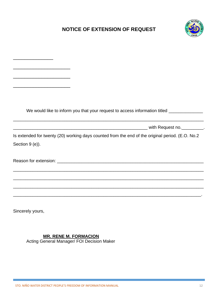#### **NOTICE OF EXTENSION OF REQUEST**



|                                                             | We would like to inform you that your request to access information titled _____________         |
|-------------------------------------------------------------|--------------------------------------------------------------------------------------------------|
|                                                             |                                                                                                  |
|                                                             |                                                                                                  |
|                                                             | Is extended for twenty (20) working days counted from the end of the original period. (E.O. No.2 |
| Section 9 (e)).                                             |                                                                                                  |
|                                                             |                                                                                                  |
|                                                             |                                                                                                  |
|                                                             |                                                                                                  |
| <u> 1989 - Johann Stoff, amerikansk politiker (d. 1989)</u> | <u> 1989 - Jan Samuel Barbara, margaret eta idazlea (h. 1989).</u>                               |
|                                                             |                                                                                                  |
|                                                             |                                                                                                  |
|                                                             |                                                                                                  |

Sincerely yours,

#### **MR. RENE M. FORMACION**

Acting General Manager/ FOI Decision Maker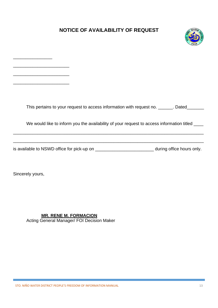#### **NOTICE OF AVAILABILITY OF REQUEST**



| This pertains to your request to access information with request no. ______. Dated             |
|------------------------------------------------------------------------------------------------|
| We would like to inform you the availability of your request to access information titled ____ |

is available to NSWD office for pick-up on \_\_\_\_\_\_\_\_\_\_\_\_\_\_\_\_\_\_\_\_\_\_\_\_\_\_\_\_\_\_\_\_ during office hours only.

\_\_\_\_\_\_\_\_\_\_\_\_\_\_\_\_\_\_\_\_\_\_\_\_\_\_\_\_\_\_\_\_\_\_\_\_\_\_\_\_\_\_\_\_\_\_\_\_\_\_\_\_\_\_\_\_\_\_\_\_\_\_\_\_\_\_\_\_\_\_\_\_\_\_\_\_\_\_

Sincerely yours,

\_\_\_\_\_\_\_\_\_\_\_\_\_\_\_\_

\_\_\_\_\_\_\_\_\_\_\_\_\_\_\_\_\_\_\_\_\_\_\_

\_\_\_\_\_\_\_\_\_\_\_\_\_\_\_\_\_\_\_\_\_\_\_

 **MR. RENE M. FORMACION** Acting General Manager/ FOI Decision Maker